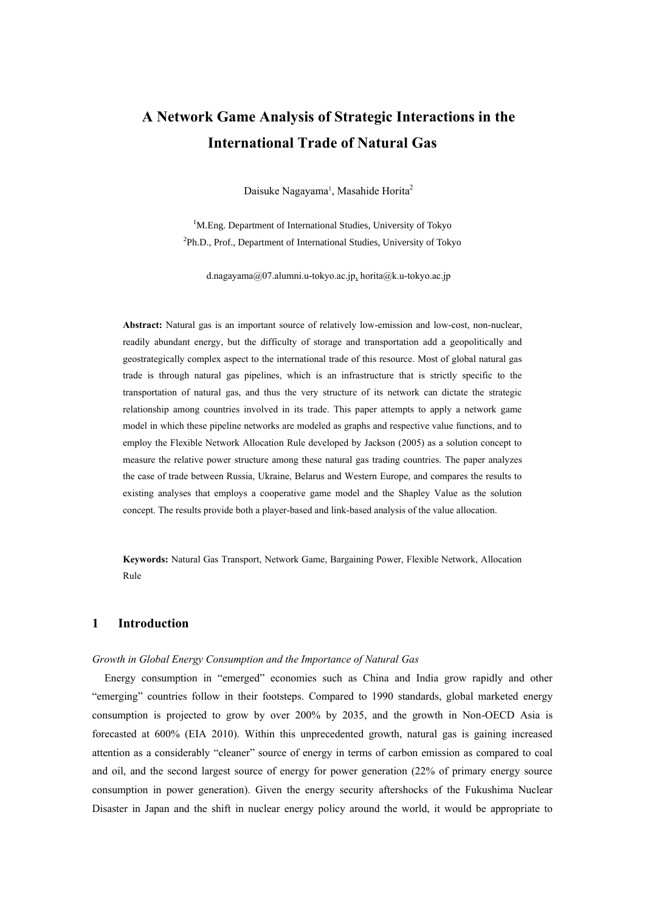# **A Network Game Analysis of Strategic Interactions in the International Trade of Natural Gas**

Daisuke Nagayama<sup>1</sup>, Masahide Horita<sup>2</sup>

<sup>1</sup>M.Eng. Department of International Studies, University of Tokyo <sup>2</sup>Ph.D., Prof., Department of International Studies, University of Tokyo

d.nagayama@07.alumni.u-tokyo.ac.jp, horita@k.u-tokyo.ac.jp

**Abstract:** Natural gas is an important source of relatively low-emission and low-cost, non-nuclear, readily abundant energy, but the difficulty of storage and transportation add a geopolitically and geostrategically complex aspect to the international trade of this resource. Most of global natural gas trade is through natural gas pipelines, which is an infrastructure that is strictly specific to the transportation of natural gas, and thus the very structure of its network can dictate the strategic relationship among countries involved in its trade. This paper attempts to apply a network game model in which these pipeline networks are modeled as graphs and respective value functions, and to employ the Flexible Network Allocation Rule developed by Jackson (2005) as a solution concept to measure the relative power structure among these natural gas trading countries. The paper analyzes the case of trade between Russia, Ukraine, Belarus and Western Europe, and compares the results to existing analyses that employs a cooperative game model and the Shapley Value as the solution concept. The results provide both a player-based and link-based analysis of the value allocation.

**Keywords:** Natural Gas Transport, Network Game, Bargaining Power, Flexible Network, Allocation Rule

# **1 Introduction**

#### *Growth in Global Energy Consumption and the Importance of Natural Gas*

Energy consumption in "emerged" economies such as China and India grow rapidly and other "emerging" countries follow in their footsteps. Compared to 1990 standards, global marketed energy consumption is projected to grow by over 200% by 2035, and the growth in Non-OECD Asia is forecasted at 600% (EIA 2010). Within this unprecedented growth, natural gas is gaining increased attention as a considerably "cleaner" source of energy in terms of carbon emission as compared to coal and oil, and the second largest source of energy for power generation (22% of primary energy source consumption in power generation). Given the energy security aftershocks of the Fukushima Nuclear Disaster in Japan and the shift in nuclear energy policy around the world, it would be appropriate to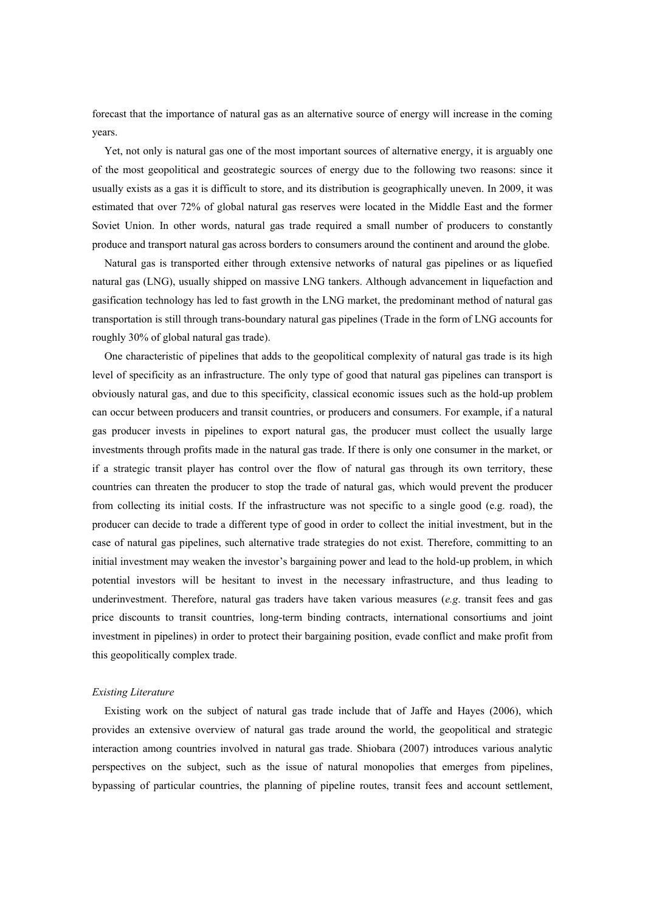forecast that the importance of natural gas as an alternative source of energy will increase in the coming years.

Yet, not only is natural gas one of the most important sources of alternative energy, it is arguably one of the most geopolitical and geostrategic sources of energy due to the following two reasons: since it usually exists as a gas it is difficult to store, and its distribution is geographically uneven. In 2009, it was estimated that over 72% of global natural gas reserves were located in the Middle East and the former Soviet Union. In other words, natural gas trade required a small number of producers to constantly produce and transport natural gas across borders to consumers around the continent and around the globe.

Natural gas is transported either through extensive networks of natural gas pipelines or as liquefied natural gas (LNG), usually shipped on massive LNG tankers. Although advancement in liquefaction and gasification technology has led to fast growth in the LNG market, the predominant method of natural gas transportation is still through trans-boundary natural gas pipelines (Trade in the form of LNG accounts for roughly 30% of global natural gas trade).

One characteristic of pipelines that adds to the geopolitical complexity of natural gas trade is its high level of specificity as an infrastructure. The only type of good that natural gas pipelines can transport is obviously natural gas, and due to this specificity, classical economic issues such as the hold-up problem can occur between producers and transit countries, or producers and consumers. For example, if a natural gas producer invests in pipelines to export natural gas, the producer must collect the usually large investments through profits made in the natural gas trade. If there is only one consumer in the market, or if a strategic transit player has control over the flow of natural gas through its own territory, these countries can threaten the producer to stop the trade of natural gas, which would prevent the producer from collecting its initial costs. If the infrastructure was not specific to a single good (e.g. road), the producer can decide to trade a different type of good in order to collect the initial investment, but in the case of natural gas pipelines, such alternative trade strategies do not exist. Therefore, committing to an initial investment may weaken the investor's bargaining power and lead to the hold-up problem, in which potential investors will be hesitant to invest in the necessary infrastructure, and thus leading to underinvestment. Therefore, natural gas traders have taken various measures (*e.g*. transit fees and gas price discounts to transit countries, long-term binding contracts, international consortiums and joint investment in pipelines) in order to protect their bargaining position, evade conflict and make profit from this geopolitically complex trade.

#### *Existing Literature*

Existing work on the subject of natural gas trade include that of Jaffe and Hayes (2006), which provides an extensive overview of natural gas trade around the world, the geopolitical and strategic interaction among countries involved in natural gas trade. Shiobara (2007) introduces various analytic perspectives on the subject, such as the issue of natural monopolies that emerges from pipelines, bypassing of particular countries, the planning of pipeline routes, transit fees and account settlement,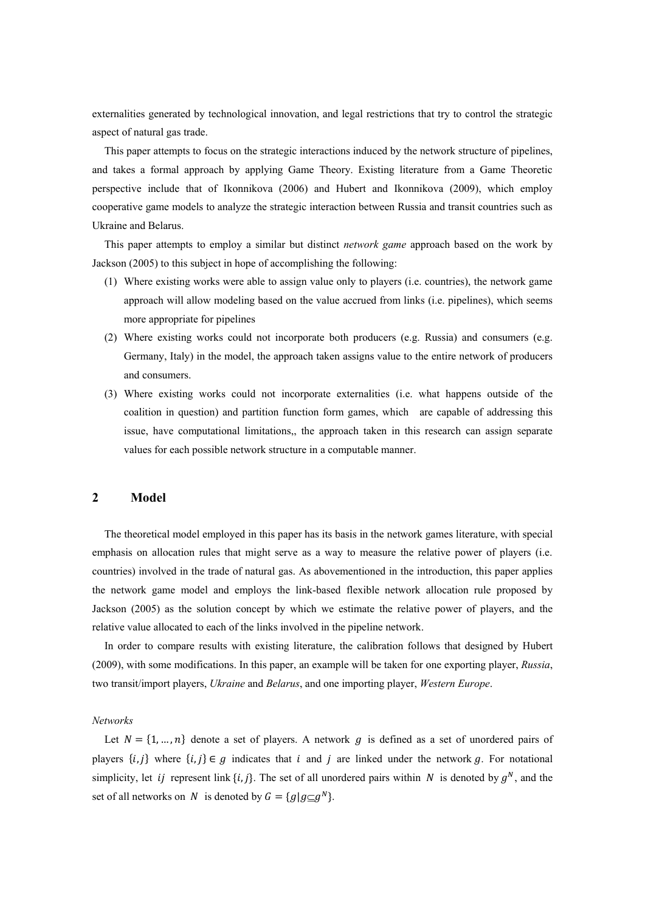externalities generated by technological innovation, and legal restrictions that try to control the strategic aspect of natural gas trade.

This paper attempts to focus on the strategic interactions induced by the network structure of pipelines, and takes a formal approach by applying Game Theory. Existing literature from a Game Theoretic perspective include that of Ikonnikova (2006) and Hubert and Ikonnikova (2009), which employ cooperative game models to analyze the strategic interaction between Russia and transit countries such as Ukraine and Belarus.

This paper attempts to employ a similar but distinct *network game* approach based on the work by Jackson (2005) to this subject in hope of accomplishing the following:

- (1) Where existing works were able to assign value only to players (i.e. countries), the network game approach will allow modeling based on the value accrued from links (i.e. pipelines), which seems more appropriate for pipelines
- (2) Where existing works could not incorporate both producers (e.g. Russia) and consumers (e.g. Germany, Italy) in the model, the approach taken assigns value to the entire network of producers and consumers.
- (3) Where existing works could not incorporate externalities (i.e. what happens outside of the coalition in question) and partition function form games, which are capable of addressing this issue, have computational limitations,, the approach taken in this research can assign separate values for each possible network structure in a computable manner.

# **2 Model**

The theoretical model employed in this paper has its basis in the network games literature, with special emphasis on allocation rules that might serve as a way to measure the relative power of players (i.e. countries) involved in the trade of natural gas. As abovementioned in the introduction, this paper applies the network game model and employs the link-based flexible network allocation rule proposed by Jackson (2005) as the solution concept by which we estimate the relative power of players, and the relative value allocated to each of the links involved in the pipeline network.

In order to compare results with existing literature, the calibration follows that designed by Hubert (2009), with some modifications. In this paper, an example will be taken for one exporting player, *Russia*, two transit/import players, *Ukraine* and *Belarus*, and one importing player, *Western Europe*.

*Networks*

Let  $N = \{1, ..., n\}$  denote a set of players. A network g is defined as a set of unordered pairs of players  $\{i, j\}$  where  $\{i, j\} \in g$  indicates that i and j are linked under the network g. For notational simplicity, let *ij* represent link  $\{i, j\}$ . The set of all unordered pairs within N is denoted by  $g^N$ , and the set of all networks on N is denoted by  $G = \{g | g \subseteq g^N\}.$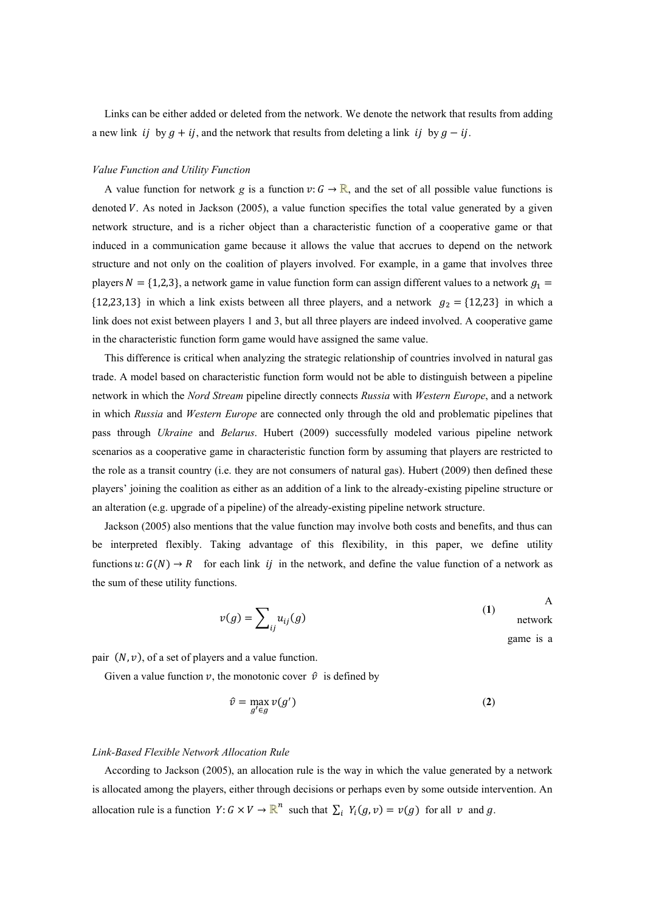Links can be either added or deleted from the network. We denote the network that results from adding a new link ij by  $g + ij$ , and the network that results from deleting a link ij by  $g - ij$ .

#### *Value Function and Utility Function*

A value function for network *g* is a function  $v: G \to \mathbb{R}$ , and the set of all possible value functions is denoted V. As noted in Jackson (2005), a value function specifies the total value generated by a given network structure, and is a richer object than a characteristic function of a cooperative game or that induced in a communication game because it allows the value that accrues to depend on the network structure and not only on the coalition of players involved. For example, in a game that involves three players  $N = \{1,2,3\}$ , a network game in value function form can assign different values to a network  $g_1$ {12,23,13} in which a link exists between all three players, and a network  $g_2 =$ {12,23} in which a link does not exist between players 1 and 3, but all three players are indeed involved. A cooperative game in the characteristic function form game would have assigned the same value.

This difference is critical when analyzing the strategic relationship of countries involved in natural gas trade. A model based on characteristic function form would not be able to distinguish between a pipeline network in which the *Nord Stream* pipeline directly connects *Russia* with *Western Europe*, and a network in which *Russia* and *Western Europe* are connected only through the old and problematic pipelines that pass through *Ukraine* and *Belarus*. Hubert (2009) successfully modeled various pipeline network scenarios as a cooperative game in characteristic function form by assuming that players are restricted to the role as a transit country (i.e. they are not consumers of natural gas). Hubert (2009) then defined these players' joining the coalition as either as an addition of a link to the already-existing pipeline structure or an alteration (e.g. upgrade of a pipeline) of the already-existing pipeline network structure.

Jackson (2005) also mentions that the value function may involve both costs and benefits, and thus can be interpreted flexibly. Taking advantage of this flexibility, in this paper, we define utility functions  $u: G(N) \to R$  for each link ij in the network, and define the value function of a network as the sum of these utility functions.

$$
v(g) = \sum_{ij} u_{ij}(g)
$$
 (1) network

game is a

A

pair  $(N, \nu)$ , of a set of players and a value function.

Given a value function v, the monotonic cover  $\hat{v}$  is defined by

$$
\hat{v} = \max_{g' \in g} v(g') \tag{2}
$$

#### *Link-Based Flexible Network Allocation Rule*

According to Jackson (2005), an allocation rule is the way in which the value generated by a network is allocated among the players, either through decisions or perhaps even by some outside intervention. An allocation rule is a function  $Y: G \times V \to \mathbb{R}^n$  such that  $\sum_i Y_i(g, v) = v(g)$  for all v and g.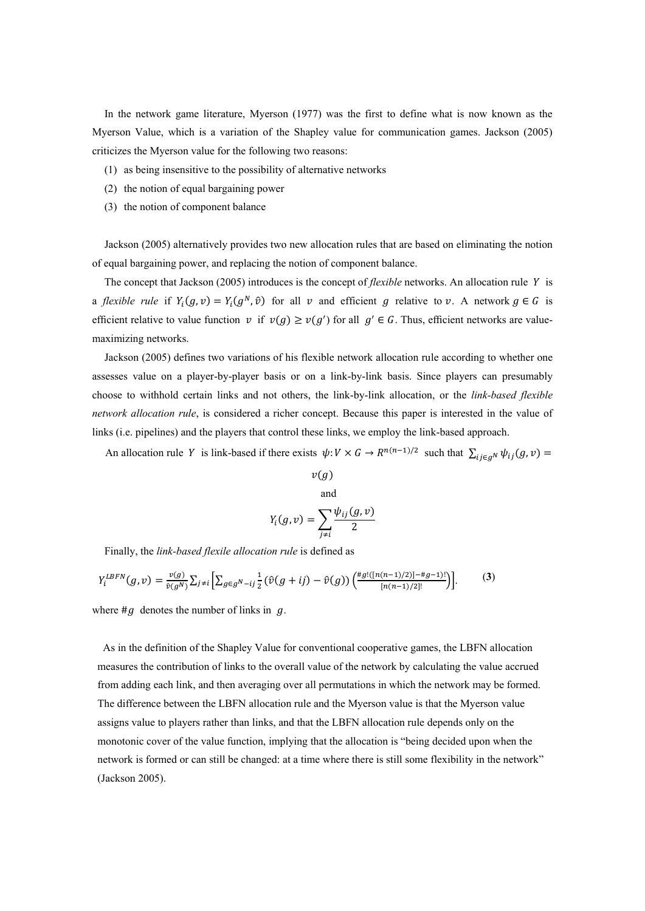In the network game literature, Myerson (1977) was the first to define what is now known as the Myerson Value, which is a variation of the Shapley value for communication games. Jackson (2005) criticizes the Myerson value for the following two reasons:

- (1) as being insensitive to the possibility of alternative networks
- (2) the notion of equal bargaining power
- (3) the notion of component balance

Jackson (2005) alternatively provides two new allocation rules that are based on eliminating the notion of equal bargaining power, and replacing the notion of component balance.

The concept that Jackson (2005) introduces is the concept of *flexible* networks. An allocation rule Y is a *flexible rule* if  $Y_i(g, v) = Y_i(g^N, \hat{v})$  for all v and efficient g relative to v. A network  $g \in G$  is efficient relative to value function v if  $v(g) \ge v(g')$  for all  $g' \in G$ . Thus, efficient networks are valuemaximizing networks.

Jackson (2005) defines two variations of his flexible network allocation rule according to whether one assesses value on a player-by-player basis or on a link-by-link basis. Since players can presumably choose to withhold certain links and not others, the link-by-link allocation, or the *link-based flexible network allocation rule*, is considered a richer concept. Because this paper is interested in the value of links (i.e. pipelines) and the players that control these links, we employ the link-based approach.

An allocation rule Y is link-based if there exists  $\psi: V \times G \to R^{n(n-1)/2}$  such that  $\sum_{i,j \in \mathcal{A}} \psi$ 

$$
v(g)
$$
  
and  

$$
Y_i(g, v) = \sum_{j \neq i} \frac{\psi_{ij}(g, v)}{2}
$$

Finally, the *link-based flexile allocation rule* is defined as

$$
Y_i^{LEFN}(g,v) = \frac{v(g)}{\hat{v}(g^N)} \sum_{j \neq i} \left[ \sum_{g \in g^N - ij} \frac{1}{2} (\hat{v}(g + ij) - \hat{v}(g)) \left( \frac{\#g!([n(n-1)/2)] - \#g - 1)!}{[n(n-1)/2]!} \right) \right].
$$
 (3)

where  $\#g$  denotes the number of links in  $g$ .

As in the definition of the Shapley Value for conventional cooperative games, the LBFN allocation measures the contribution of links to the overall value of the network by calculating the value accrued from adding each link, and then averaging over all permutations in which the network may be formed. The difference between the LBFN allocation rule and the Myerson value is that the Myerson value assigns value to players rather than links, and that the LBFN allocation rule depends only on the monotonic cover of the value function, implying that the allocation is "being decided upon when the network is formed or can still be changed: at a time where there is still some flexibility in the network" (Jackson 2005).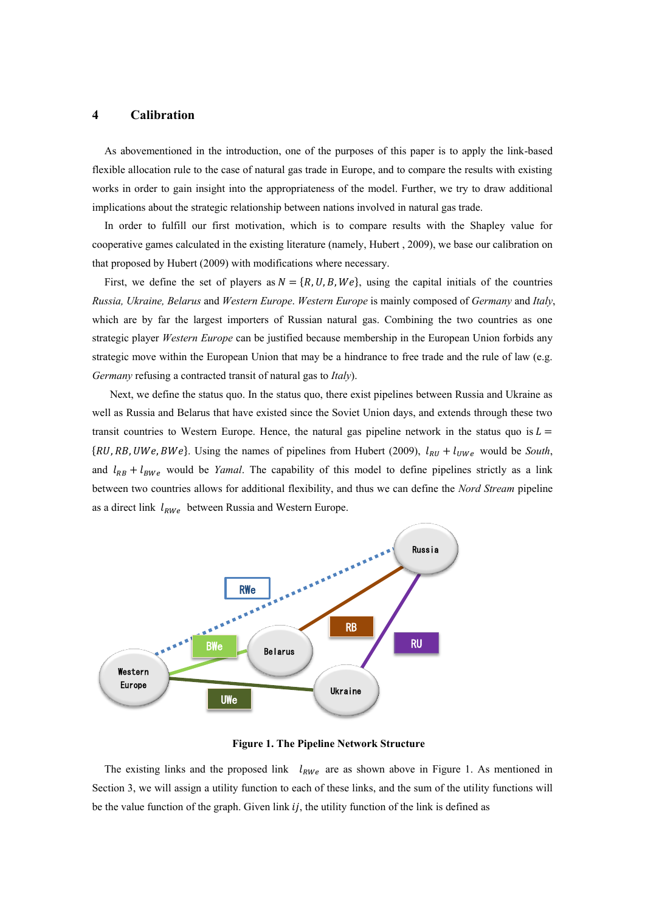# **4 Calibration**

As abovementioned in the introduction, one of the purposes of this paper is to apply the link-based flexible allocation rule to the case of natural gas trade in Europe, and to compare the results with existing works in order to gain insight into the appropriateness of the model. Further, we try to draw additional implications about the strategic relationship between nations involved in natural gas trade.

In order to fulfill our first motivation, which is to compare results with the Shapley value for cooperative games calculated in the existing literature (namely, Hubert , 2009), we base our calibration on that proposed by Hubert (2009) with modifications where necessary.

First, we define the set of players as  $N = \{R, U, B, We\}$ , using the capital initials of the countries *Russia, Ukraine, Belarus* and *Western Europe*. *Western Europe* is mainly composed of *Germany* and *Italy*, which are by far the largest importers of Russian natural gas. Combining the two countries as one strategic player *Western Europe* can be justified because membership in the European Union forbids any strategic move within the European Union that may be a hindrance to free trade and the rule of law (e.g. *Germany* refusing a contracted transit of natural gas to *Italy*).

Next, we define the status quo. In the status quo, there exist pipelines between Russia and Ukraine as well as Russia and Belarus that have existed since the Soviet Union days, and extends through these two transit countries to Western Europe. Hence, the natural gas pipeline network in the status quo is  $L =$  $\{RU, RB, UWe, BWe\}$ . Using the names of pipelines from Hubert (2009),  $l_{RU} + l_{UWe}$  would be *South*, and  $l_{RB}$  +  $l_{BW}$  would be *Yamal*. The capability of this model to define pipelines strictly as a link between two countries allows for additional flexibility, and thus we can define the *Nord Stream* pipeline as a direct link  $l_{RWe}$  between Russia and Western Europe.



**Figure 1. The Pipeline Network Structure**

The existing links and the proposed link  $l_{RWe}$  are as shown above in Figure 1. As mentioned in Section 3, we will assign a utility function to each of these links, and the sum of the utility functions will be the value function of the graph. Given link  $i_j$ , the utility function of the link is defined as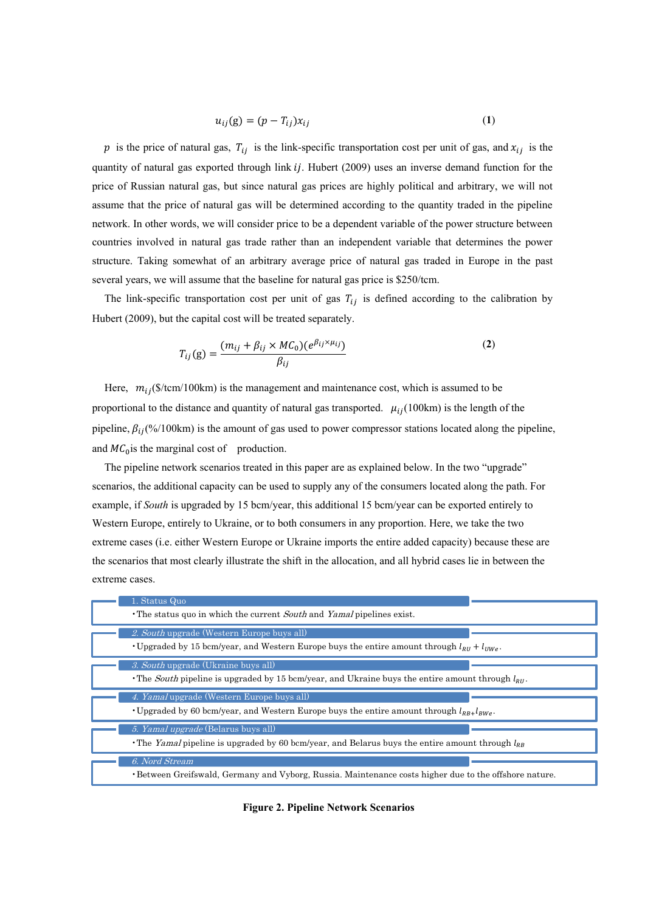$$
u_{ij}(g) = (p - T_{ij})x_{ij} \tag{1}
$$

p is the price of natural gas,  $T_{ij}$  is the link-specific transportation cost per unit of gas, and  $x_{ij}$  is the quantity of natural gas exported through link  $ij$ . Hubert (2009) uses an inverse demand function for the price of Russian natural gas, but since natural gas prices are highly political and arbitrary, we will not assume that the price of natural gas will be determined according to the quantity traded in the pipeline network. In other words, we will consider price to be a dependent variable of the power structure between countries involved in natural gas trade rather than an independent variable that determines the power structure. Taking somewhat of an arbitrary average price of natural gas traded in Europe in the past several years, we will assume that the baseline for natural gas price is \$250/tcm.

The link-specific transportation cost per unit of gas  $T_{ij}$  is defined according to the calibration by Hubert (2009), but the capital cost will be treated separately.

$$
T_{ij}(g) = \frac{(m_{ij} + \beta_{ij} \times MC_0)(e^{\beta_{ij} \times \mu_{ij}})}{\beta_{ij}}
$$
(2)

Here,  $m_{ij}$ (\$/tcm/100km) is the management and maintenance cost, which is assumed to be proportional to the distance and quantity of natural gas transported.  $\mu_{ij}(100 \text{km})$  is the length of the pipeline,  $\beta_{ij}$ (%/100km) is the amount of gas used to power compressor stations located along the pipeline, and  $MC<sub>0</sub>$  is the marginal cost of production.

The pipeline network scenarios treated in this paper are as explained below. In the two "upgrade" scenarios, the additional capacity can be used to supply any of the consumers located along the path. For example, if *South* is upgraded by 15 bcm/year, this additional 15 bcm/year can be exported entirely to Western Europe, entirely to Ukraine, or to both consumers in any proportion. Here, we take the two extreme cases (i.e. either Western Europe or Ukraine imports the entire added capacity) because these are the scenarios that most clearly illustrate the shift in the allocation, and all hybrid cases lie in between the extreme cases.

| 1. Status Quo                                                                                                                                      |  |
|----------------------------------------------------------------------------------------------------------------------------------------------------|--|
| • The status quo in which the current South and Yamal pipelines exist.                                                                             |  |
| 2. South upgrade (Western Europe buys all)<br>• Upgraded by 15 bcm/year, and Western Europe buys the entire amount through $l_{RU} + l_{UWe}$ .    |  |
| 3. South upgrade (Ukraine buys all)<br>The South pipeline is upgraded by 15 bcm/year, and Ukraine buys the entire amount through $l_{\text{RI}}$ . |  |
|                                                                                                                                                    |  |
| 4. Yamal upgrade (Western Europe buys all)<br>• Upgraded by 60 bcm/year, and Western Europe buys the entire amount through $l_{RR+1RW}$ .          |  |
| 5. Yamal upgrade (Belarus buys all)<br>• The Yamal pipeline is upgraded by 60 bcm/year, and Belarus buys the entire amount through $l_{RR}$        |  |

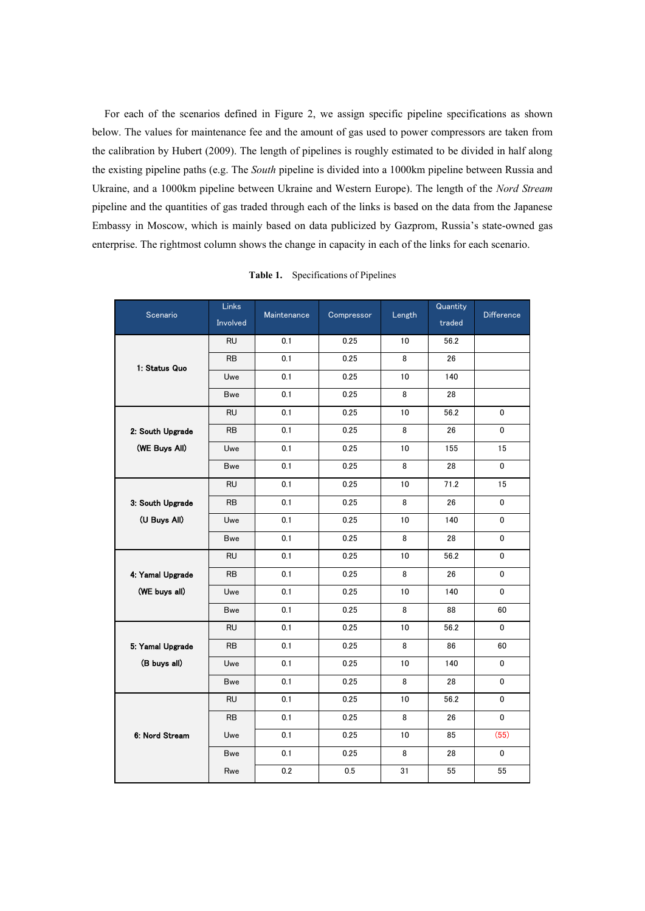For each of the scenarios defined in Figure 2, we assign specific pipeline specifications as shown below. The values for maintenance fee and the amount of gas used to power compressors are taken from the calibration by Hubert (2009). The length of pipelines is roughly estimated to be divided in half along the existing pipeline paths (e.g. The *South* pipeline is divided into a 1000km pipeline between Russia and Ukraine, and a 1000km pipeline between Ukraine and Western Europe). The length of the *Nord Stream* pipeline and the quantities of gas traded through each of the links is based on the data from the Japanese Embassy in Moscow, which is mainly based on data publicized by Gazprom, Russia's state-owned gas enterprise. The rightmost column shows the change in capacity in each of the links for each scenario.

|                  | <b>Links</b> |             |            |        | Quantity | <b>Difference</b> |  |
|------------------|--------------|-------------|------------|--------|----------|-------------------|--|
| Scenario         | Involved     | Maintenance | Compressor | Length | traded   |                   |  |
|                  | <b>RU</b>    | 0.1         | 0.25       | 10     | 56.2     |                   |  |
| 1. Status Quo    | <b>RB</b>    | 0.1         | 0.25       | 8      | 26       |                   |  |
|                  | Uwe          | 0.1         | 0.25       | 10     | 140      |                   |  |
|                  | <b>Bwe</b>   | 0.1         | 0.25       | 8      | 28       |                   |  |
|                  | <b>RU</b>    | 0.1         | 0.25       | 10     | 56.2     | 0                 |  |
| 2: South Upgrade | <b>RB</b>    | 0.1         | 0.25       | 8      | 26       | 0                 |  |
| (WE Buys All)    | Uwe          | 0.1         | 0.25       | 10     | 155      | 15                |  |
|                  | Bwe          | 0.1         | 0.25       | 8      | 28       | 0                 |  |
|                  | <b>RU</b>    | 0.1         | 0.25       | 10     | 71.2     | 15                |  |
| 3: South Upgrade | <b>RB</b>    | 0.1         | 0.25       | 8      | 26       | 0                 |  |
| (U Buys All)     | Uwe          | 0.1         | 0.25       | 10     | 140      | 0                 |  |
|                  | Bwe          | 0.1         | 0.25       | 8      | 28       | 0                 |  |
|                  | <b>RU</b>    | 0.1         | 0.25       | 10     | 56.2     | 0                 |  |
| 4: Yamal Upgrade | <b>RB</b>    | 0.1         | 0.25       | 8      | 26       | 0                 |  |
| (WE buys all)    | Uwe          | 0.1         | 0.25       | 10     | 140      | 0                 |  |
|                  | <b>Bwe</b>   | 0.1         | 0.25       | 8      | 88       | 60                |  |
|                  | <b>RU</b>    | 0.1         | 0.25       | 10     | 56.2     | 0                 |  |
| 5: Yamal Upgrade | <b>RB</b>    | 0.1         | 0.25       | 8      | 86       | 60                |  |
| (B buys all)     | Uwe          | 0.1         | 0.25       | 10     | 140      | 0                 |  |
|                  | <b>Bwe</b>   | 0.1         | 0.25       | 8      | 28       | 0                 |  |
|                  | <b>RU</b>    | 0.1         | 0.25       | 10     | 56.2     | 0                 |  |
|                  | <b>RB</b>    | 0.1         | 0.25       | 8      | 26       | 0                 |  |
| 6. Nord Stream   | Uwe          | 0.1         | 0.25       | 10     | 85       | (55)              |  |
|                  | <b>Bwe</b>   | 0.1         | 0.25       | 8      | 28       | 0                 |  |
|                  | Rwe          | 0.2         | 0.5        | 31     | 55       | 55                |  |

**Table 1.** Specifications of Pipelines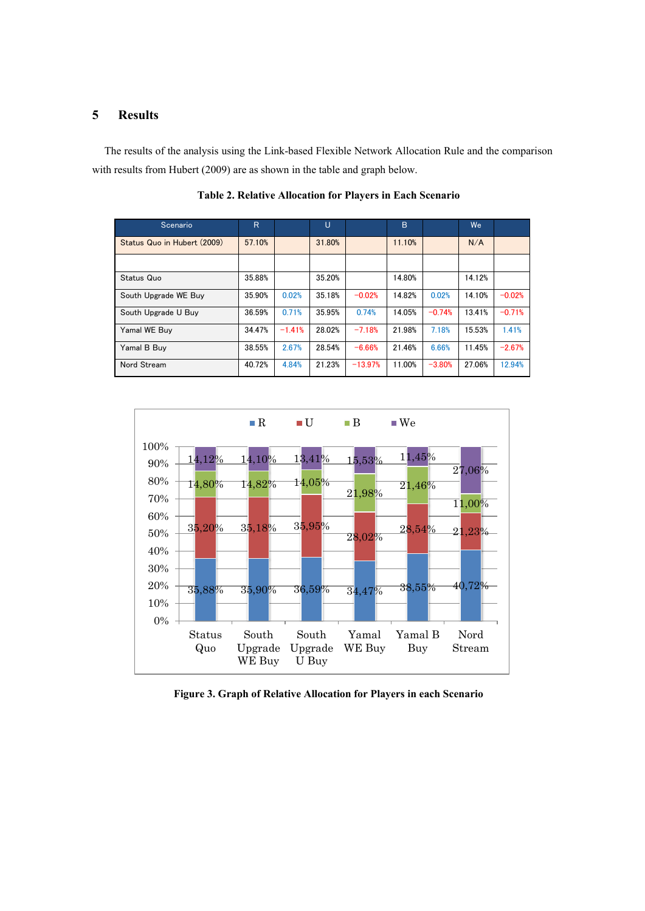# **5 Results**

The results of the analysis using the Link-based Flexible Network Allocation Rule and the comparison with results from Hubert (2009) are as shown in the table and graph below.

| Scenario                    | $\overline{R}$ |          | U      |           | B      |          | We     |          |
|-----------------------------|----------------|----------|--------|-----------|--------|----------|--------|----------|
| Status Quo in Hubert (2009) | 57.10%         |          | 31.80% |           | 11.10% |          | N/A    |          |
|                             |                |          |        |           |        |          |        |          |
| Status Quo                  | 35.88%         |          | 35.20% |           | 14.80% |          | 14.12% |          |
| South Upgrade WE Buy        | 35.90%         | 0.02%    | 35.18% | $-0.02%$  | 14.82% | 0.02%    | 14.10% | $-0.02%$ |
| South Upgrade U Buy         | 36.59%         | 0.71%    | 35.95% | 0.74%     | 14.05% | $-0.74%$ | 13.41% | $-0.71%$ |
| Yamal WE Buy                | 34.47%         | $-1.41%$ | 28.02% | $-7.18%$  | 21.98% | 7.18%    | 15.53% | 1.41%    |
| Yamal B Buy                 | 38.55%         | 2.67%    | 28.54% | $-6.66%$  | 21.46% | 6.66%    | 11.45% | $-2.67%$ |
| Nord Stream                 | 40.72%         | 4.84%    | 21.23% | $-13.97%$ | 11.00% | $-3.80%$ | 27.06% | 12.94%   |

**Table 2. Relative Allocation for Players in Each Scenario**



**Figure 3. Graph of Relative Allocation for Players in each Scenario**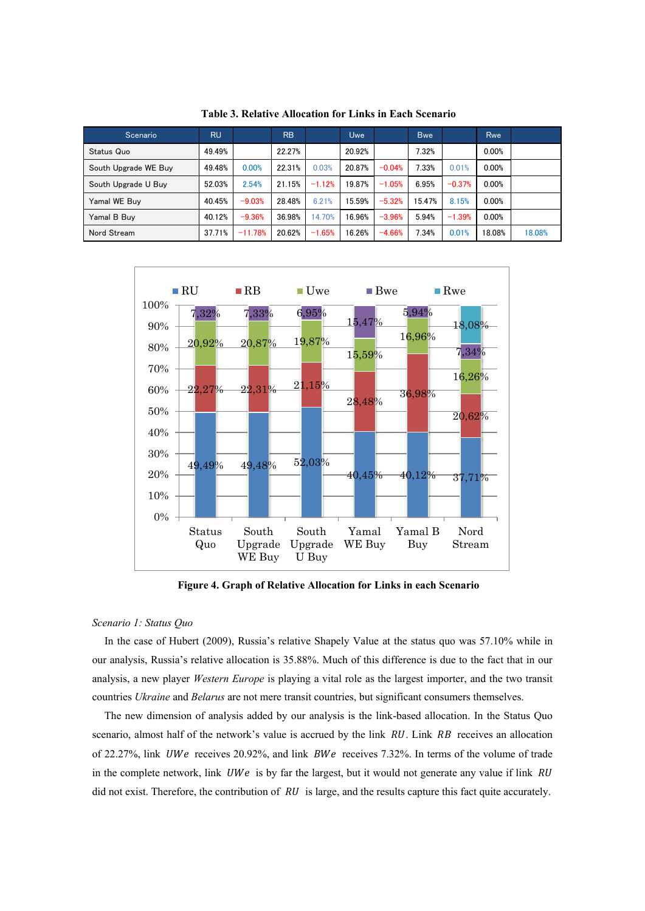| Scenario             | <b>RU</b> |           | <b>RB</b> |          | <b>Uwe</b> |          | <b>Bwe</b> |          | Rwe    |        |
|----------------------|-----------|-----------|-----------|----------|------------|----------|------------|----------|--------|--------|
| <b>Status Quo</b>    | 49.49%    |           | 22.27%    |          | 20.92%     |          | 7.32%      |          | 0.00%  |        |
| South Upgrade WE Buy | 49.48%    | 0.00%     | 22.31%    | 0.03%    | 20.87%     | $-0.04%$ | 7.33%      | 0.01%    | 0.00%  |        |
| South Upgrade U Buy  | 52.03%    | 2.54%     | 21.15%    | $-1.12%$ | 19.87%     | $-1.05%$ | 6.95%      | $-0.37%$ | 0.00%  |        |
| Yamal WE Buv         | 40.45%    | $-9.03%$  | 28.48%    | 6.21%    | 15.59%     | $-5.32%$ | 15.47%     | 8.15%    | 0.00%  |        |
| Yamal B Buv          | 40.12%    | $-9.36%$  | 36.98%    | 14.70%   | 16.96%     | $-3.96%$ | 5.94%      | $-1.39%$ | 0.00%  |        |
| Nord Stream          | 37.71%    | $-11.78%$ | 20.62%    | $-1.65%$ | 16.26%     | $-4.66%$ | 7.34%      | 0.01%    | 18.08% | 18.08% |

**Table 3. Relative Allocation for Links in Each Scenario**



**Figure 4. Graph of Relative Allocation for Links in each Scenario**

#### *Scenario 1: Status Quo*

In the case of Hubert (2009), Russia's relative Shapely Value at the status quo was 57.10% while in our analysis, Russia's relative allocation is 35.88%. Much of this difference is due to the fact that in our analysis, a new player *Western Europe* is playing a vital role as the largest importer, and the two transit countries *Ukraine* and *Belarus* are not mere transit countries, but significant consumers themselves.

The new dimension of analysis added by our analysis is the link-based allocation. In the Status Quo scenario, almost half of the network's value is accrued by the link  $RU$ . Link  $RB$  receives an allocation of 22.27%, link *UWe* receives 20.92%, and link *BWe* receives 7.32%. In terms of the volume of trade in the complete network, link  $UWe$  is by far the largest, but it would not generate any value if link  $RU$ did not exist. Therefore, the contribution of  $RU$  is large, and the results capture this fact quite accurately.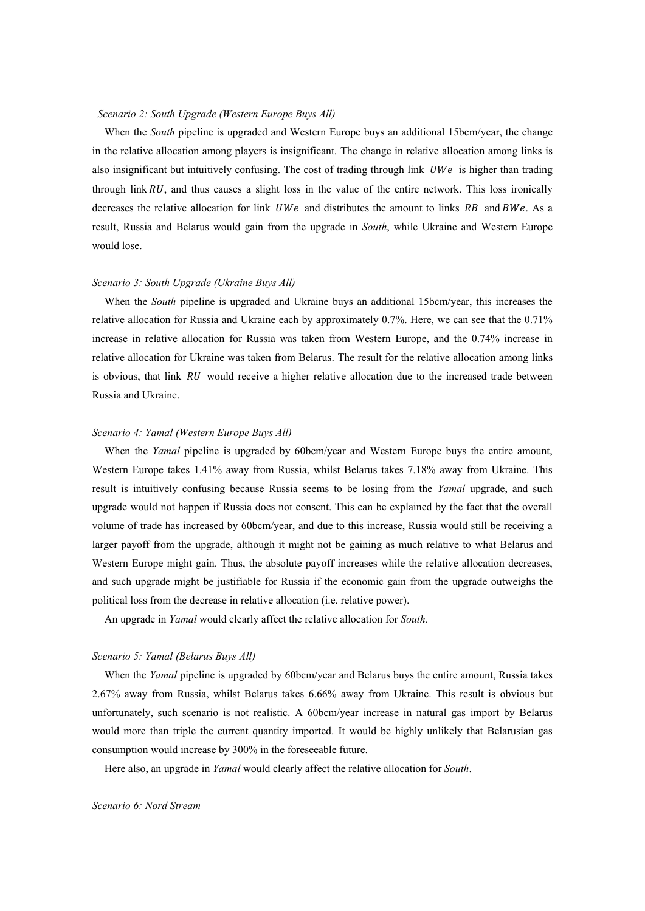#### *Scenario 2: South Upgrade (Western Europe Buys All)*

When the *South* pipeline is upgraded and Western Europe buys an additional 15bcm/year, the change in the relative allocation among players is insignificant. The change in relative allocation among links is also insignificant but intuitively confusing. The cost of trading through link  $UWe$  is higher than trading through link  $RU$ , and thus causes a slight loss in the value of the entire network. This loss ironically decreases the relative allocation for link  $UWe$  and distributes the amount to links RB and BWe. As a result, Russia and Belarus would gain from the upgrade in *South*, while Ukraine and Western Europe would lose.

# *Scenario 3: South Upgrade (Ukraine Buys All)*

When the *South* pipeline is upgraded and Ukraine buys an additional 15bcm/year, this increases the relative allocation for Russia and Ukraine each by approximately 0.7%. Here, we can see that the 0.71% increase in relative allocation for Russia was taken from Western Europe, and the 0.74% increase in relative allocation for Ukraine was taken from Belarus. The result for the relative allocation among links is obvious, that link  $RU$  would receive a higher relative allocation due to the increased trade between Russia and Ukraine.

#### *Scenario 4: Yamal (Western Europe Buys All)*

When the *Yamal* pipeline is upgraded by 60bcm/year and Western Europe buys the entire amount, Western Europe takes 1.41% away from Russia, whilst Belarus takes 7.18% away from Ukraine. This result is intuitively confusing because Russia seems to be losing from the *Yamal* upgrade, and such upgrade would not happen if Russia does not consent. This can be explained by the fact that the overall volume of trade has increased by 60bcm/year, and due to this increase, Russia would still be receiving a larger payoff from the upgrade, although it might not be gaining as much relative to what Belarus and Western Europe might gain. Thus, the absolute payoff increases while the relative allocation decreases, and such upgrade might be justifiable for Russia if the economic gain from the upgrade outweighs the political loss from the decrease in relative allocation (i.e. relative power).

An upgrade in *Yamal* would clearly affect the relative allocation for *South*.

## *Scenario 5: Yamal (Belarus Buys All)*

When the *Yamal* pipeline is upgraded by 60bcm/year and Belarus buys the entire amount, Russia takes 2.67% away from Russia, whilst Belarus takes 6.66% away from Ukraine. This result is obvious but unfortunately, such scenario is not realistic. A 60bcm/year increase in natural gas import by Belarus would more than triple the current quantity imported. It would be highly unlikely that Belarusian gas consumption would increase by 300% in the foreseeable future.

Here also, an upgrade in *Yamal* would clearly affect the relative allocation for *South*.

#### *Scenario 6: Nord Stream*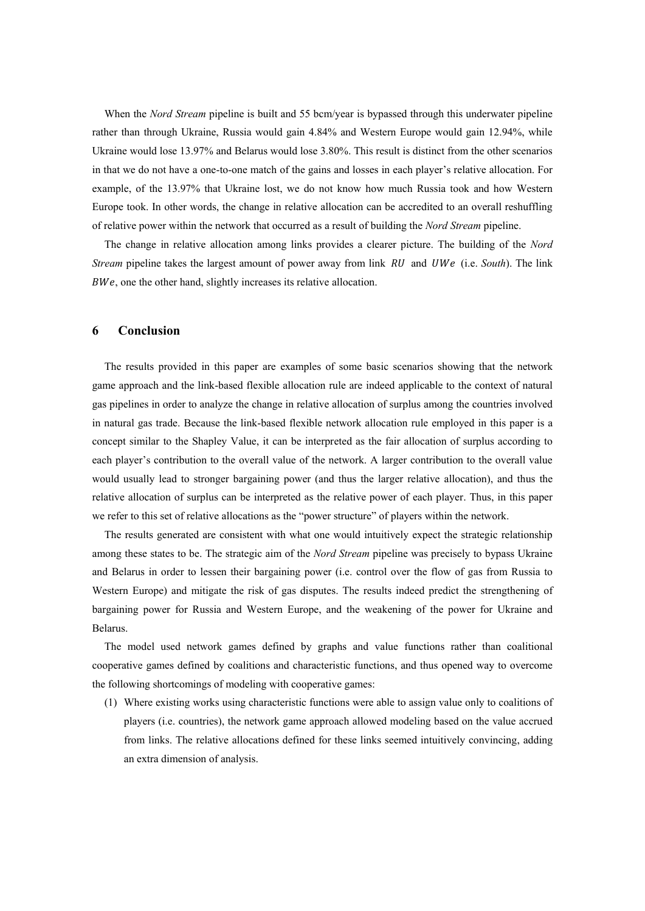When the *Nord Stream* pipeline is built and 55 bcm/year is bypassed through this underwater pipeline rather than through Ukraine, Russia would gain 4.84% and Western Europe would gain 12.94%, while Ukraine would lose 13.97% and Belarus would lose 3.80%. This result is distinct from the other scenarios in that we do not have a one-to-one match of the gains and losses in each player's relative allocation. For example, of the 13.97% that Ukraine lost, we do not know how much Russia took and how Western Europe took. In other words, the change in relative allocation can be accredited to an overall reshuffling of relative power within the network that occurred as a result of building the *Nord Stream* pipeline.

The change in relative allocation among links provides a clearer picture. The building of the *Nord Stream* pipeline takes the largest amount of power away from link RU and UWe (i.e. *South*). The link BWe, one the other hand, slightly increases its relative allocation.

#### **6 Conclusion**

The results provided in this paper are examples of some basic scenarios showing that the network game approach and the link-based flexible allocation rule are indeed applicable to the context of natural gas pipelines in order to analyze the change in relative allocation of surplus among the countries involved in natural gas trade. Because the link-based flexible network allocation rule employed in this paper is a concept similar to the Shapley Value, it can be interpreted as the fair allocation of surplus according to each player's contribution to the overall value of the network. A larger contribution to the overall value would usually lead to stronger bargaining power (and thus the larger relative allocation), and thus the relative allocation of surplus can be interpreted as the relative power of each player. Thus, in this paper we refer to this set of relative allocations as the "power structure" of players within the network.

The results generated are consistent with what one would intuitively expect the strategic relationship among these states to be. The strategic aim of the *Nord Stream* pipeline was precisely to bypass Ukraine and Belarus in order to lessen their bargaining power (i.e. control over the flow of gas from Russia to Western Europe) and mitigate the risk of gas disputes. The results indeed predict the strengthening of bargaining power for Russia and Western Europe, and the weakening of the power for Ukraine and Belarus.

The model used network games defined by graphs and value functions rather than coalitional cooperative games defined by coalitions and characteristic functions, and thus opened way to overcome the following shortcomings of modeling with cooperative games:

(1) Where existing works using characteristic functions were able to assign value only to coalitions of players (i.e. countries), the network game approach allowed modeling based on the value accrued from links. The relative allocations defined for these links seemed intuitively convincing, adding an extra dimension of analysis.